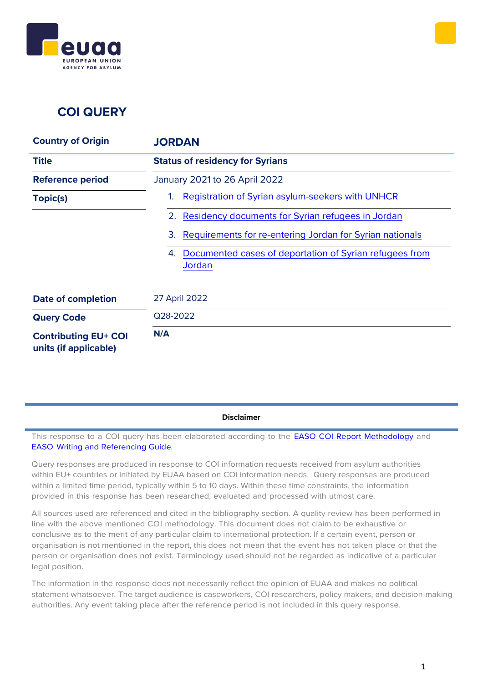



## **COI QUERY**

| <b>Country of Origin</b>                             | <b>JORDAN</b>                                                           |
|------------------------------------------------------|-------------------------------------------------------------------------|
| <b>Title</b>                                         | <b>Status of residency for Syrians</b>                                  |
| <b>Reference period</b>                              | January 2021 to 26 April 2022                                           |
| Topic(s)                                             | Registration of Syrian asylum-seekers with UNHCR<br>1.                  |
|                                                      | Residency documents for Syrian refugees in Jordan<br>2.                 |
|                                                      | Requirements for re-entering Jordan for Syrian nationals<br>3.          |
|                                                      | Documented cases of deportation of Syrian refugees from<br>4.<br>Jordan |
| <b>Date of completion</b>                            | 27 April 2022                                                           |
| <b>Query Code</b>                                    | Q28-2022                                                                |
| <b>Contributing EU+ COI</b><br>units (if applicable) | N/A                                                                     |

**Disclaimer**

This response to a COI query has been elaborated according to the **EASO COI Report [Methodology](https://coi.easo.europa.eu/administration/easo/PLib/2019_EASO_COI_Report_Methodology.pdf)** and EASO [Writing](https://coi.easo.europa.eu/administration/easo/PLib/2019_EASO_COI_Writing_and_Referencing_Guide.pdf) and [Referencing](https://coi.easo.europa.eu/administration/easo/PLib/2019_EASO_COI_Writing_and_Referencing_Guide.pdf) Guide*.*

Query responses are produced in response to COI information requests received from asylum authorities within EU+ countries or initiated by EUAA based on COI information needs. Query responses are produced within a limited time period, typically within 5 to 10 days. Within these time constraints, the information provided in this response has been researched, evaluated and processed with utmost care.

All sources used are referenced and cited in the bibliography section. A quality review has been performed in line with the above mentioned COI methodology. This document does not claim to be exhaustive or conclusive as to the merit of any particular claim to international protection. If a certain event, person or organisation is not mentioned in the report, this does not mean that the event has not taken place or that the person or organisation does not exist. Terminology used should not be regarded as indicative of a particular legal position.

The information in the response does not necessarily reflect the opinion of EUAA and makes no political statement whatsoever. The target audience is caseworkers, COI researchers, policy makers, and decision-making authorities. Any event taking place after the reference period is not included in this query response.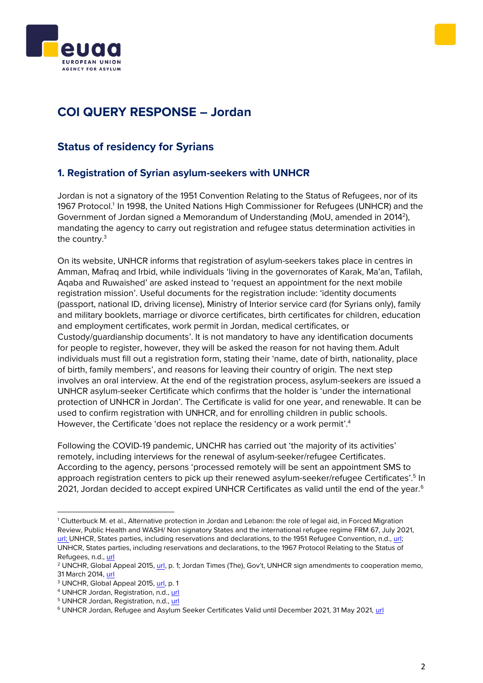



# **COI QUERY RESPONSE – Jordan**

### **Status of residency for Syrians**

### <span id="page-1-0"></span>**1. Registration of Syrian asylum-seekers with UNHCR**

Jordan is not a signatory of the 1951 Convention Relating to the Status of Refugees, nor of its 1967 Protocol.<sup>1</sup> In 1998, the United Nations High Commissioner for Refugees (UNHCR) and the Government of Jordan signed a Memorandum of Understanding (MoU, amended in 2014<sup>2</sup>), mandating the agency to carry out registration and refugee status determination activities in the country.<sup>3</sup>

On its website, UNHCR informs that registration of asylum-seekers takes place in centres in Amman, Mafraq and Irbid, while individuals 'living in the governorates of Karak, Ma'an, Tafilah, Aqaba and Ruwaished' are asked instead to 'request an appointment for the next mobile registration mission'. Useful documents for the registration include: 'identity documents (passport, national ID, driving license), Ministry of Interior service card (for Syrians only), family and military booklets, marriage or divorce certificates, birth certificates for children, education and employment certificates, work permit in Jordan, medical certificates, or Custody/guardianship documents'. It is not mandatory to have any identification documents for people to register, however, they will be asked the reason for not having them.Adult individuals must fill out a registration form, stating their 'name, date of birth, nationality, place of birth, family members', and reasons for leaving their country of origin. The next step involves an oral interview. At the end of the registration process, asylum-seekers are issued a UNHCR asylum-seeker Certificate which confirms that the holder is 'under the international protection of UNHCR in Jordan'. The Certificate is valid for one year, and renewable. It can be used to confirm registration with UNHCR, and for enrolling children in public schools. However, the Certificate 'does not replace the residency or a work permit'. 4

Following the COVID-19 pandemic, UNCHR has carried out 'the majority of its activities' remotely, including interviews for the renewal of asylum-seeker/refugee Certificates. According to the agency, persons 'processed remotely will be sent an appointment SMS to approach registration centers to pick up their renewed asylum-seeker/refugee Certificates'.<sup>5</sup> In 2021, Jordan decided to accept expired UNHCR Certificates as valid until the end of the year.<sup>6</sup>

<sup>1</sup> Clutterbuck M. et al., Alternative protection in Jordan and Lebanon: the role of legal aid, in Forced Migration Review, Public Health and WASH/ Non signatory States and the international refugee regime FRM 67, July 2021, [url;](https://www.fmreview.org/issue67/clutterbuck-hussein-mansour-rispo) UNHCR, States parties, including reservations and declarations, to the 1951 Refugee Convention, n.d., [url;](https://www.unhcr.org/5d9ed32b4) UNHCR, States parties, including reservations and declarations, to the 1967 Protocol Relating to the Status of Refugees, n.d.[, url](https://www.unhcr.org/5d9ed66a4)

<sup>2</sup> UNCHR, Global Appeal 2015, [url](https://www.unhcr.org/5461e6070.pdf), p. 1; Jordan Times (The), Gov't, UNHCR sign amendments to cooperation memo, 31 March 2014, [url](http://www.jordantimes.com/news/local/gov%E2%80%99t-unhcr-sign-amendments-cooperation-memo)

<sup>3</sup> UNCHR, Global Appeal 2015, [url,](https://www.unhcr.org/5461e6070.pdf) p. 1

<sup>4</sup> UNHCR Jordan, Registration, n.d., [url](https://help.unhcr.org/jordan/en/helpful-services-unhcr/registration-unhcr/)

<sup>5</sup> UNHCR Jordan, Registration, n.d., [url](https://help.unhcr.org/jordan/en/helpful-services-unhcr/registration-unhcr/)

<sup>6</sup> UNHCR Jordan, Refugee and Asylum Seeker Certificates Valid until December 2021, 31 May 2021, [url](https://www.unhcr.org/jo/14925-refugee-and-asylum-seeker-certificates-valid-until-december-2021.html)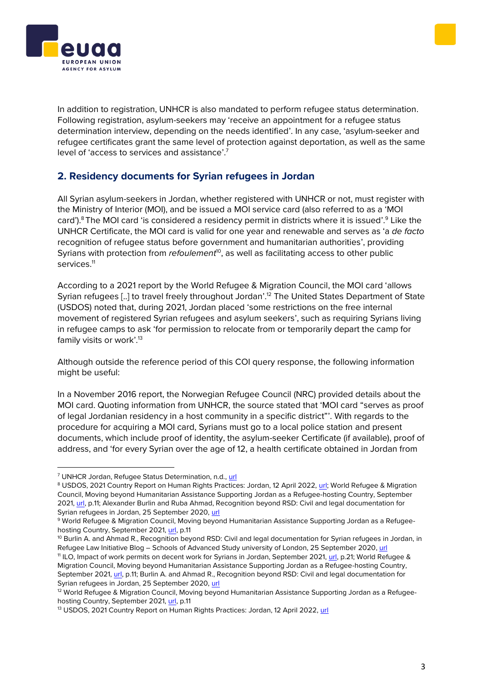



In addition to registration, UNHCR is also mandated to perform refugee status determination. Following registration, asylum-seekers may 'receive an appointment for a refugee status determination interview, depending on the needs identified'. In any case, 'asylum-seeker and refugee certificates grant the same level of protection against deportation, as well as the same level of 'access to services and assistance'.<sup>7</sup>

### <span id="page-2-0"></span>**2. Residency documents for Syrian refugees in Jordan**

All Syrian asylum-seekers in Jordan, whether registered with UNHCR or not, must register with the Ministry of Interior (MOI), and be issued a MOI service card (also referred to as a 'MOI card').<sup>8</sup> The MOI card 'is considered a residency permit in districts where it is issued'.<sup>9</sup> Like the UNHCR Certificate, the MOI card is valid for one year and renewable and serves as 'a *de facto* recognition of refugee status before government and humanitarian authorities', providing Syrians with protection from *refoulement<sup>10</sup>*, as well as facilitating access to other public services.<sup>11</sup>

According to a 2021 report by the World Refugee & Migration Council, the MOI card 'allows Syrian refugees [..] to travel freely throughout Jordan'. <sup>12</sup> The United States Department of State (USDOS) noted that, during 2021, Jordan placed 'some restrictions on the free internal movement of registered Syrian refugees and asylum seekers', such as requiring Syrians living in refugee camps to ask 'for permission to relocate from or temporarily depart the camp for family visits or work'.<sup>13</sup>

Although outside the reference period of this COI query response, the following information might be useful:

In a November 2016 report, the Norwegian Refugee Council (NRC) provided details about the MOI card. Quoting information from UNHCR, the source stated that 'MOI card "serves as proof of legal Jordanian residency in a host community in a specific district"'. With regards to the procedure for acquiring a MOI card, Syrians must go to a local police station and present documents, which include proof of identity, the asylum-seeker Certificate (if available), proof of address, and 'for every Syrian over the age of 12, a health certificate obtained in Jordan from

<sup>7</sup> UNHCR Jordan, Refugee Status Determination, n.d., [url](https://help.unhcr.org/jordan/en/helpful-services-unhcr/refugee-status-determination/)

<sup>8</sup> USDOS, 2021 Country Report on Human Rights Practices: Jordan, 12 April 2022, [url;](https://www.state.gov/reports/2021-country-reports-on-human-rights-practices/jordan/) World Refugee & Migration Council, Moving beyond Humanitarian Assistance Supporting Jordan as a Refugee-hosting Country, September 2021[, url,](https://wrmcouncil.org/wp-content/uploads/2021/09/Jordan-Syrian-Refugees-WRMC.pdf) p.11; Alexander Burlin and Ruba Ahmad, Recognition beyond RSD: Civil and legal documentation for Syrian refugees in Jordan, 25 September 2020, [url](https://rli.blogs.sas.ac.uk/2020/09/25/recognition-beyond-rsd-civil-and-legal-documentation-for-syrian-refugees-in-jordan/)

<sup>9</sup> World Refugee & Migration Council, Moving beyond Humanitarian Assistance Supporting Jordan as a Refugeehosting Country, September 2021[, url,](https://wrmcouncil.org/wp-content/uploads/2021/09/Jordan-Syrian-Refugees-WRMC.pdf) p.11

<sup>&</sup>lt;sup>10</sup> Burlin A. and Ahmad R., Recognition beyond RSD: Civil and legal documentation for Syrian refugees in Jordan, in Refugee Law Initiative Blog – Schools of Advanced Study university of London, 25 September 2020[, url](https://rli.blogs.sas.ac.uk/2020/09/25/recognition-beyond-rsd-civil-and-legal-documentation-for-syrian-refugees-in-jordan/)

<sup>11</sup> ILO, Impact of work permits on decent work for Syrians in Jordan, September 2021, [url,](https://reliefweb.int/sites/reliefweb.int/files/resources/Impacts%20of%20Work%20Permit%20Regulations%20on%20Decent%20Work%20for%20Syrian%20refugees%20in%20Jordan.pdf) p.21; World Refugee & Migration Council, Moving beyond Humanitarian Assistance Supporting Jordan as a Refugee-hosting Country, September 2021[, url,](https://wrmcouncil.org/wp-content/uploads/2021/09/Jordan-Syrian-Refugees-WRMC.pdf) p.11; Burlin A. and Ahmad R., Recognition beyond RSD: Civil and legal documentation for Syrian refugees in Jordan, 25 September 2020, [url](https://rli.blogs.sas.ac.uk/2020/09/25/recognition-beyond-rsd-civil-and-legal-documentation-for-syrian-refugees-in-jordan/)

<sup>&</sup>lt;sup>12</sup> World Refugee & Migration Council, Moving beyond Humanitarian Assistance Supporting Jordan as a Refugeehosting Country, September 2021[, url,](https://wrmcouncil.org/wp-content/uploads/2021/09/Jordan-Syrian-Refugees-WRMC.pdf) p.11

<sup>13</sup> USDOS, 2021 Country Report on Human Rights Practices: Jordan, 12 April 2022, [url](https://www.state.gov/reports/2021-country-reports-on-human-rights-practices/jordan/)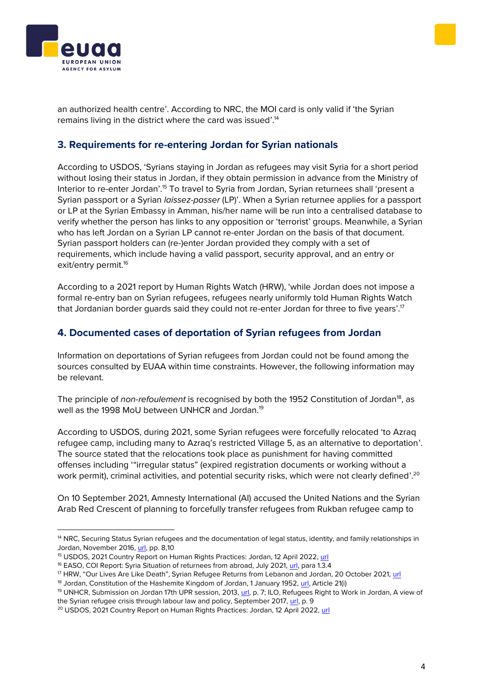



an authorized health centre'. According to NRC, the MOI card is only valid if 'the Syrian remains living in the district where the card was issued'.<sup>14</sup>

#### <span id="page-3-0"></span>**3. Requirements for re-entering Jordan for Syrian nationals**

According to USDOS, 'Syrians staying in Jordan as refugees may visit Syria for a short period without losing their status in Jordan, if they obtain permission in advance from the Ministry of Interior to re-enter Jordan'.<sup>15</sup> To travel to Syria from Jordan, Syrian returnees shall 'present a Syrian passport or a Syrian *laissez-passer* (LP)'. When a Syrian returnee applies for a passport or LP at the Syrian Embassy in Amman, his/her name will be run into a centralised database to verify whether the person has links to any opposition or 'terrorist' groups. Meanwhile, a Syrian who has left Jordan on a Syrian LP cannot re-enter Jordan on the basis of that document. Syrian passport holders can (re-)enter Jordan provided they comply with a set of requirements, which include having a valid passport, security approval, and an entry or exit/entry permit.<sup>16</sup>

According to a 2021 report by Human Rights Watch (HRW), 'while Jordan does not impose a formal re-entry ban on Syrian refugees, refugees nearly uniformly told Human Rights Watch that Jordanian border guards said they could not re-enter Jordan for three to five years'.<sup>17</sup>

#### <span id="page-3-1"></span>**4. Documented cases of deportation of Syrian refugees from Jordan**

Information on deportations of Syrian refugees from Jordan could not be found among the sources consulted by EUAA within time constraints. However, the following information may be relevant.

The principle of *non-refoulement* is recognised by both the 1952 Constitution of Jordan<sup>18</sup>, as well as the 1998 MoU between UNHCR and Jordan.<sup>19</sup>

According to USDOS, during 2021, some Syrian refugees were forcefully relocated 'to Azraq refugee camp, including many to Azraq's restricted Village 5, as an alternative to deportation'. The source stated that the relocations took place as punishment for having committed offenses including '"irregular status" (expired registration documents or working without a work permit), criminal activities, and potential security risks, which were not clearly defined'. $^{20}$ 

On 10 September 2021, Amnesty International (AI) accused the United Nations and the Syrian Arab Red Crescent of planning to forcefully transfer refugees from Rukban refugee camp to

<sup>&</sup>lt;sup>14</sup> NRC, Securing Status Syrian refugees and the documentation of legal status, identity, and family relationships in Jordan, November 2016, [url,](https://www.nrc.no/globalassets/pdf/reports/securing-status.pdf) pp. 8,10

<sup>15</sup> USDOS, 2021 Country Report on Human Rights Practices: Jordan, 12 April 2022, [url](https://www.state.gov/reports/2021-country-reports-on-human-rights-practices/jordan/)

<sup>&</sup>lt;sup>16</sup> EASO, COI Report: Syria Situation of returnees from abroad, July 2021, [url,](https://euaa.europa.eu/sites/default/files/publications/2021_06_EASO_Syria_Situation_returnees_from_abroad.pdf) para 1.3.4

<sup>17</sup> HRW, "Our Lives Are Like Death", Syrian Refugee Returns from Lebanon and Jordan, 20 October 2021, [url](https://www.hrw.org/report/2021/10/20/our-lives-are-death/syrian-refugee-returns-lebanon-and-jordan)

<sup>&</sup>lt;sup>18</sup> Jordan, Constitution of the Hashemite Kingdom of Jordan, 1 January 1952[, url,](https://www.refworld.org/publisher,NATLEGBOD,,JOR,3ae6b53310,0.html) Article 21(i)

<sup>&</sup>lt;sup>19</sup> UNHCR, Submission on Jordan 17th UPR session, 2013, [url,](https://www.refworld.org/pdfid/513d90172.pdf) p. 7; ILO, Refugees Right to Work in Jordan, A view of the Syrian refugee crisis through labour law and policy, September 2017, [url,](https://www.rescuerefugees.eu/wp-content/uploads/2017/09/RighttoworkinJordan.pdf) p. 9

<sup>&</sup>lt;sup>20</sup> USDOS, 2021 Country Report on Human Rights Practices: Jordan, 12 April 2022[, url](https://www.state.gov/reports/2021-country-reports-on-human-rights-practices/jordan/)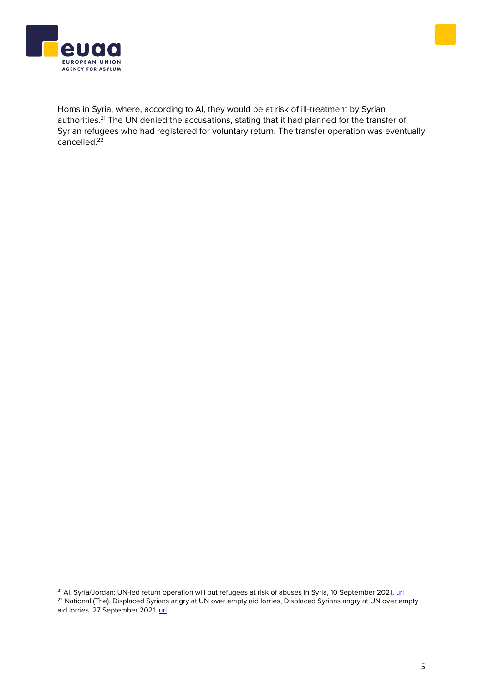



Homs in Syria, where, according to AI, they would be at risk of ill-treatment by Syrian authorities.<sup>21</sup> The UN denied the accusations, stating that it had planned for the transfer of Syrian refugees who had registered for voluntary return. The transfer operation was eventually  $c$ ancelled.<sup>22</sup>

<sup>&</sup>lt;sup>21</sup> Al, Syria/Jordan: UN-led return operation will put refugees at risk of abuses in Syria, 10 September 2021, [url](https://www.amnesty.org/en/latest/news/2021/09/syria-jordan-un-led-return-operation-puts-refugees-at-risk-of-abuses-in-syria/) <sup>22</sup> National (The), Displaced Syrians angry at UN over empty aid lorries, Displaced Syrians angry at UN over empty aid lorries, 27 September 2021, [url](https://www.thenationalnews.com/mena/syria/2021/09/27/displaced-syrians-angry-at-un-over-empty-aid-lorries/)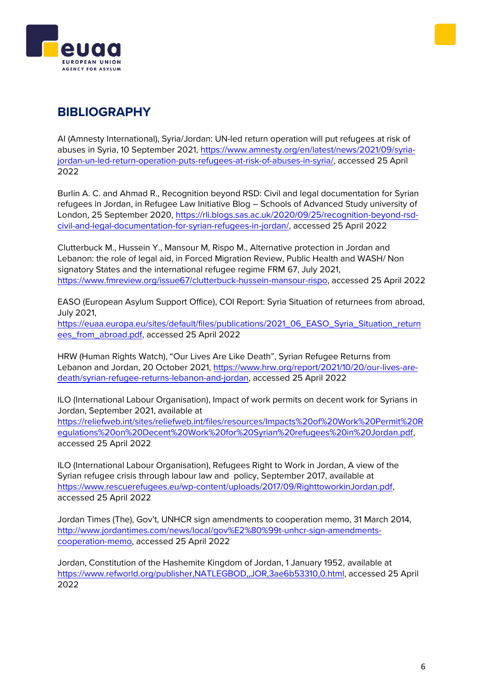



# **BIBLIOGRAPHY**

AI (Amnesty International), Syria/Jordan: UN-led return operation will put refugees at risk of abuses in Syria, 10 September 2021, [https://www.amnesty.org/en/latest/news/2021/09/syria](https://www.amnesty.org/en/latest/news/2021/09/syria-jordan-un-led-return-operation-puts-refugees-at-risk-of-abuses-in-syria/)[jordan-un-led-return-operation-puts-refugees-at-risk-of-abuses-in-syria/,](https://www.amnesty.org/en/latest/news/2021/09/syria-jordan-un-led-return-operation-puts-refugees-at-risk-of-abuses-in-syria/) accessed 25 April 2022

Burlin A. C. and Ahmad R., Recognition beyond RSD: Civil and legal documentation for Syrian refugees in Jordan, in Refugee Law Initiative Blog – Schools of Advanced Study university of London, 25 September 2020, [https://rli.blogs.sas.ac.uk/2020/09/25/recognition-beyond-rsd](https://rli.blogs.sas.ac.uk/2020/09/25/recognition-beyond-rsd-civil-and-legal-documentation-for-syrian-refugees-in-jordan/)[civil-and-legal-documentation-for-syrian-refugees-in-jordan/,](https://rli.blogs.sas.ac.uk/2020/09/25/recognition-beyond-rsd-civil-and-legal-documentation-for-syrian-refugees-in-jordan/) accessed 25 April 2022

Clutterbuck M., Hussein Y., Mansour M, Rispo M., Alternative protection in Jordan and Lebanon: the role of legal aid, in Forced Migration Review, Public Health and WASH/ Non signatory States and the international refugee regime FRM 67, July 2021, [https://www.fmreview.org/issue67/clutterbuck-hussein-mansour-rispo,](https://www.fmreview.org/issue67/clutterbuck-hussein-mansour-rispo) accessed 25 April 2022

EASO (European Asylum Support Office), COI Report: Syria Situation of returnees from abroad, July 2021, [https://euaa.europa.eu/sites/default/files/publications/2021\\_06\\_EASO\\_Syria\\_Situation\\_return](https://euaa.europa.eu/sites/default/files/publications/2021_06_EASO_Syria_Situation_returnees_from_abroad.pdf)

[ees\\_from\\_abroad.pdf,](https://euaa.europa.eu/sites/default/files/publications/2021_06_EASO_Syria_Situation_returnees_from_abroad.pdf) accessed 25 April 2022

HRW (Human Rights Watch), "Our Lives Are Like Death", Syrian Refugee Returns from Lebanon and Jordan, 20 October 2021, [https://www.hrw.org/report/2021/10/20/our-lives-are](https://www.hrw.org/report/2021/10/20/our-lives-are-death/syrian-refugee-returns-lebanon-and-jordan)[death/syrian-refugee-returns-lebanon-and-jordan,](https://www.hrw.org/report/2021/10/20/our-lives-are-death/syrian-refugee-returns-lebanon-and-jordan) accessed 25 April 2022

ILO (International Labour Organisation), Impact of work permits on decent work for Syrians in Jordan, September 2021, available at

[https://reliefweb.int/sites/reliefweb.int/files/resources/Impacts%20of%20Work%20Permit%20R](https://reliefweb.int/sites/reliefweb.int/files/resources/Impacts%20of%20Work%20Permit%20Regulations%20on%20Decent%20Work%20for%20Syrian%20refugees%20in%20Jordan.pdf) [egulations%20on%20Decent%20Work%20for%20Syrian%20refugees%20in%20Jordan.pdf,](https://reliefweb.int/sites/reliefweb.int/files/resources/Impacts%20of%20Work%20Permit%20Regulations%20on%20Decent%20Work%20for%20Syrian%20refugees%20in%20Jordan.pdf) accessed 25 April 2022

ILO (International Labour Organisation), Refugees Right to Work in Jordan, A view of the Syrian refugee crisis through labour law and policy, September 2017, available at [https://www.rescuerefugees.eu/wp-content/uploads/2017/09/RighttoworkinJordan.pdf,](https://www.rescuerefugees.eu/wp-content/uploads/2017/09/RighttoworkinJordan.pdf) accessed 25 April 2022

Jordan Times (The), Gov't, UNHCR sign amendments to cooperation memo, 31 March 2014, [http://www.jordantimes.com/news/local/gov%E2%80%99t-unhcr-sign-amendments](http://www.jordantimes.com/news/local/gov%E2%80%99t-unhcr-sign-amendments-cooperation-memo)[cooperation-memo,](http://www.jordantimes.com/news/local/gov%E2%80%99t-unhcr-sign-amendments-cooperation-memo) accessed 25 April 2022

Jordan, Constitution of the Hashemite Kingdom of Jordan, 1 January 1952, available at [https://www.refworld.org/publisher,NATLEGBOD,,JOR,3ae6b53310,0.html,](https://www.refworld.org/publisher,NATLEGBOD,,JOR,3ae6b53310,0.html) accessed 25 April 2022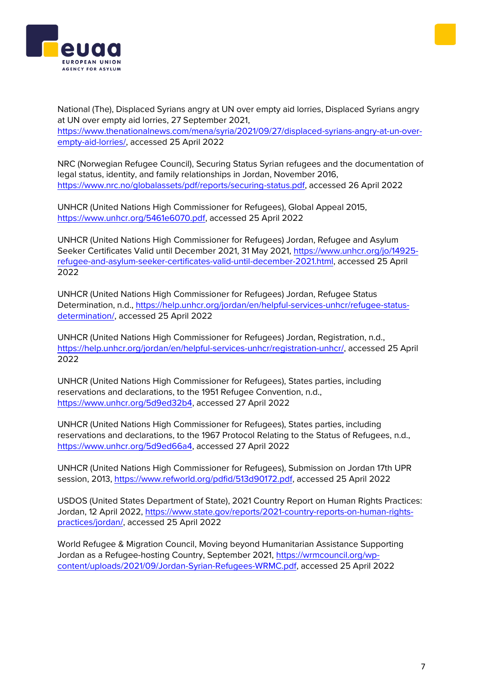



National (The), Displaced Syrians angry at UN over empty aid lorries, Displaced Syrians angry at UN over empty aid lorries, 27 September 2021, [https://www.thenationalnews.com/mena/syria/2021/09/27/displaced-syrians-angry-at-un-over-](https://www.thenationalnews.com/mena/syria/2021/09/27/displaced-syrians-angry-at-un-over-empty-aid-lorries/)

[empty-aid-lorries/,](https://www.thenationalnews.com/mena/syria/2021/09/27/displaced-syrians-angry-at-un-over-empty-aid-lorries/) accessed 25 April 2022

NRC (Norwegian Refugee Council), Securing Status Syrian refugees and the documentation of legal status, identity, and family relationships in Jordan, November 2016, [https://www.nrc.no/globalassets/pdf/reports/securing-status.pdf,](https://www.nrc.no/globalassets/pdf/reports/securing-status.pdf) accessed 26 April 2022

UNHCR (United Nations High Commissioner for Refugees), Global Appeal 2015, [https://www.unhcr.org/5461e6070.pdf,](https://www.unhcr.org/5461e6070.pdf) accessed 25 April 2022

UNHCR (United Nations High Commissioner for Refugees) Jordan, Refugee and Asylum Seeker Certificates Valid until December 2021, 31 May 2021, [https://www.unhcr.org/jo/14925](https://www.unhcr.org/jo/14925-refugee-and-asylum-seeker-certificates-valid-until-december-2021.html) [refugee-and-asylum-seeker-certificates-valid-until-december-2021.html,](https://www.unhcr.org/jo/14925-refugee-and-asylum-seeker-certificates-valid-until-december-2021.html) accessed 25 April 2022

UNHCR (United Nations High Commissioner for Refugees) Jordan, Refugee Status Determination, n.d., [https://help.unhcr.org/jordan/en/helpful-services-unhcr/refugee-status](https://help.unhcr.org/jordan/en/helpful-services-unhcr/refugee-status-determination/)[determination/,](https://help.unhcr.org/jordan/en/helpful-services-unhcr/refugee-status-determination/) accessed 25 April 2022

UNHCR (United Nations High Commissioner for Refugees) Jordan, Registration, n.d., [https://help.unhcr.org/jordan/en/helpful-services-unhcr/registration-unhcr/,](https://help.unhcr.org/jordan/en/helpful-services-unhcr/registration-unhcr/) accessed 25 April 2022

UNHCR (United Nations High Commissioner for Refugees), States parties, including reservations and declarations, to the 1951 Refugee Convention, n.d., [https://www.unhcr.org/5d9ed32b4,](https://www.unhcr.org/5d9ed32b4) accessed 27 April 2022

UNHCR (United Nations High Commissioner for Refugees), States parties, including reservations and declarations, to the 1967 Protocol Relating to the Status of Refugees, n.d., [https://www.unhcr.org/5d9ed66a4,](https://www.unhcr.org/5d9ed66a4) accessed 27 April 2022

UNHCR (United Nations High Commissioner for Refugees), Submission on Jordan 17th UPR session, 2013, [https://www.refworld.org/pdfid/513d90172.pdf,](https://www.refworld.org/pdfid/513d90172.pdf) accessed 25 April 2022

USDOS (United States Department of State), 2021 Country Report on Human Rights Practices: Jordan, 12 April 2022, [https://www.state.gov/reports/2021-country-reports-on-human-rights](https://www.state.gov/reports/2021-country-reports-on-human-rights-practices/jordan/)[practices/jordan/,](https://www.state.gov/reports/2021-country-reports-on-human-rights-practices/jordan/) accessed 25 April 2022

World Refugee & Migration Council, Moving beyond Humanitarian Assistance Supporting Jordan as a Refugee-hosting Country, September 2021, [https://wrmcouncil.org/wp](https://wrmcouncil.org/wp-content/uploads/2021/09/Jordan-Syrian-Refugees-WRMC.pdf)[content/uploads/2021/09/Jordan-Syrian-Refugees-WRMC.pdf,](https://wrmcouncil.org/wp-content/uploads/2021/09/Jordan-Syrian-Refugees-WRMC.pdf) accessed 25 April 2022